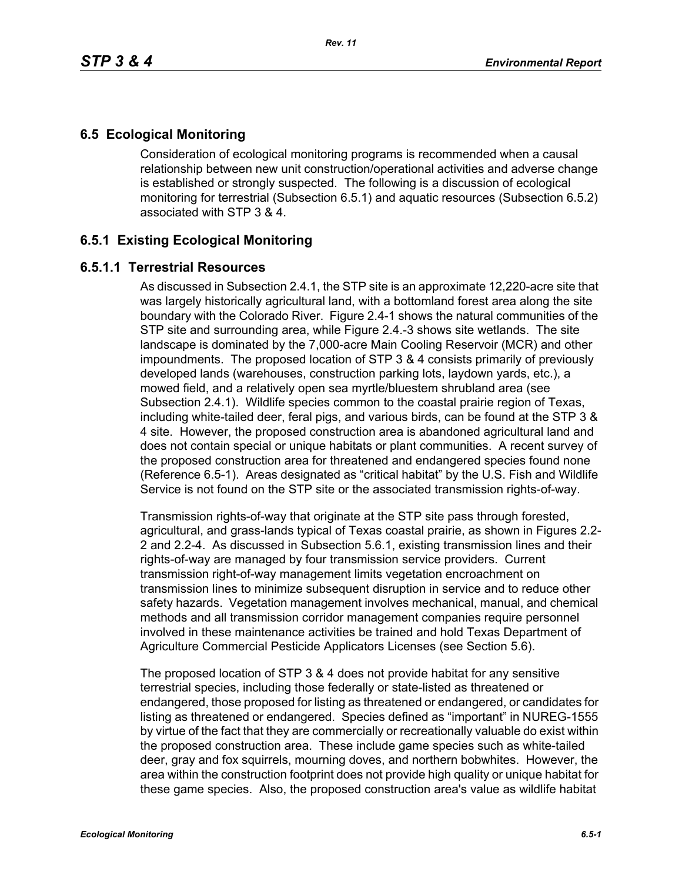# **6.5 Ecological Monitoring**

Consideration of ecological monitoring programs is recommended when a causal relationship between new unit construction/operational activities and adverse change is established or strongly suspected. The following is a discussion of ecological monitoring for terrestrial (Subsection 6.5.1) and aquatic resources (Subsection 6.5.2) associated with STP 3 & 4.

# **6.5.1 Existing Ecological Monitoring**

## **6.5.1.1 Terrestrial Resources**

As discussed in Subsection 2.4.1, the STP site is an approximate 12,220-acre site that was largely historically agricultural land, with a bottomland forest area along the site boundary with the Colorado River. Figure 2.4-1 shows the natural communities of the STP site and surrounding area, while Figure 2.4.-3 shows site wetlands. The site landscape is dominated by the 7,000-acre Main Cooling Reservoir (MCR) and other impoundments. The proposed location of STP 3 & 4 consists primarily of previously developed lands (warehouses, construction parking lots, laydown yards, etc.), a mowed field, and a relatively open sea myrtle/bluestem shrubland area (see Subsection 2.4.1). Wildlife species common to the coastal prairie region of Texas, including white-tailed deer, feral pigs, and various birds, can be found at the STP 3 & 4 site. However, the proposed construction area is abandoned agricultural land and does not contain special or unique habitats or plant communities. A recent survey of the proposed construction area for threatened and endangered species found none (Reference 6.5-1). Areas designated as "critical habitat" by the U.S. Fish and Wildlife Service is not found on the STP site or the associated transmission rights-of-way.

Transmission rights-of-way that originate at the STP site pass through forested, agricultural, and grass-lands typical of Texas coastal prairie, as shown in Figures 2.2- 2 and 2.2-4. As discussed in Subsection 5.6.1, existing transmission lines and their rights-of-way are managed by four transmission service providers. Current transmission right-of-way management limits vegetation encroachment on transmission lines to minimize subsequent disruption in service and to reduce other safety hazards. Vegetation management involves mechanical, manual, and chemical methods and all transmission corridor management companies require personnel involved in these maintenance activities be trained and hold Texas Department of Agriculture Commercial Pesticide Applicators Licenses (see Section 5.6).

The proposed location of STP 3 & 4 does not provide habitat for any sensitive terrestrial species, including those federally or state-listed as threatened or endangered, those proposed for listing as threatened or endangered, or candidates for listing as threatened or endangered. Species defined as "important" in NUREG-1555 by virtue of the fact that they are commercially or recreationally valuable do exist within the proposed construction area. These include game species such as white-tailed deer, gray and fox squirrels, mourning doves, and northern bobwhites. However, the area within the construction footprint does not provide high quality or unique habitat for these game species. Also, the proposed construction area's value as wildlife habitat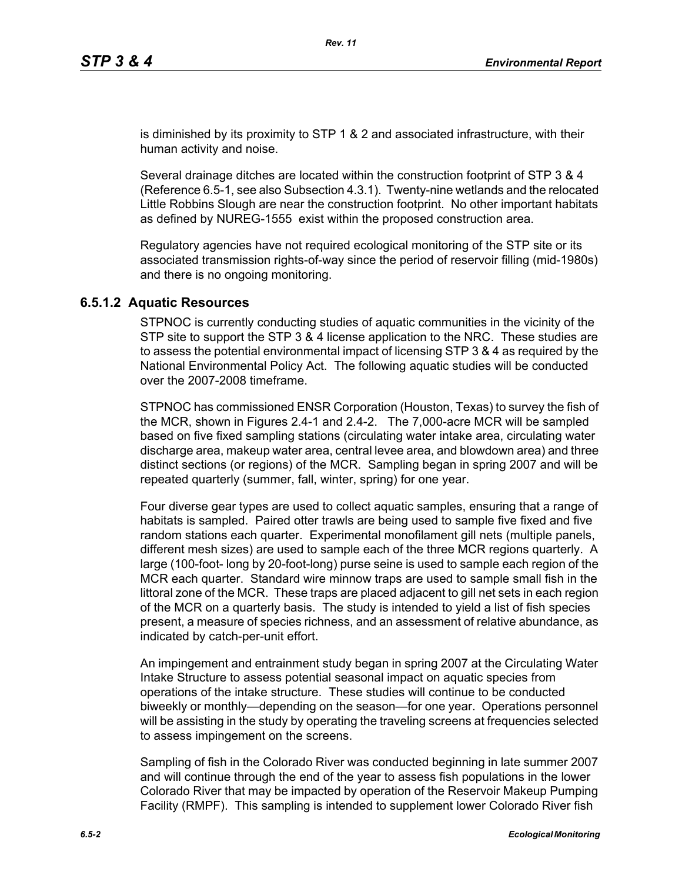is diminished by its proximity to STP 1 & 2 and associated infrastructure, with their human activity and noise.

Several drainage ditches are located within the construction footprint of STP 3 & 4 (Reference 6.5-1, see also Subsection 4.3.1). Twenty-nine wetlands and the relocated Little Robbins Slough are near the construction footprint. No other important habitats as defined by NUREG-1555 exist within the proposed construction area.

Regulatory agencies have not required ecological monitoring of the STP site or its associated transmission rights-of-way since the period of reservoir filling (mid-1980s) and there is no ongoing monitoring.

### **6.5.1.2 Aquatic Resources**

STPNOC is currently conducting studies of aquatic communities in the vicinity of the STP site to support the STP 3 & 4 license application to the NRC. These studies are to assess the potential environmental impact of licensing STP 3 & 4 as required by the National Environmental Policy Act. The following aquatic studies will be conducted over the 2007-2008 timeframe.

STPNOC has commissioned ENSR Corporation (Houston, Texas) to survey the fish of the MCR, shown in Figures 2.4-1 and 2.4-2. The 7,000-acre MCR will be sampled based on five fixed sampling stations (circulating water intake area, circulating water discharge area, makeup water area, central levee area, and blowdown area) and three distinct sections (or regions) of the MCR. Sampling began in spring 2007 and will be repeated quarterly (summer, fall, winter, spring) for one year.

Four diverse gear types are used to collect aquatic samples, ensuring that a range of habitats is sampled. Paired otter trawls are being used to sample five fixed and five random stations each quarter. Experimental monofilament gill nets (multiple panels, different mesh sizes) are used to sample each of the three MCR regions quarterly. A large (100-foot- long by 20-foot-long) purse seine is used to sample each region of the MCR each quarter. Standard wire minnow traps are used to sample small fish in the littoral zone of the MCR. These traps are placed adjacent to gill net sets in each region of the MCR on a quarterly basis. The study is intended to yield a list of fish species present, a measure of species richness, and an assessment of relative abundance, as indicated by catch-per-unit effort.

An impingement and entrainment study began in spring 2007 at the Circulating Water Intake Structure to assess potential seasonal impact on aquatic species from operations of the intake structure. These studies will continue to be conducted biweekly or monthly—depending on the season—for one year. Operations personnel will be assisting in the study by operating the traveling screens at frequencies selected to assess impingement on the screens.

Sampling of fish in the Colorado River was conducted beginning in late summer 2007 and will continue through the end of the year to assess fish populations in the lower Colorado River that may be impacted by operation of the Reservoir Makeup Pumping Facility (RMPF). This sampling is intended to supplement lower Colorado River fish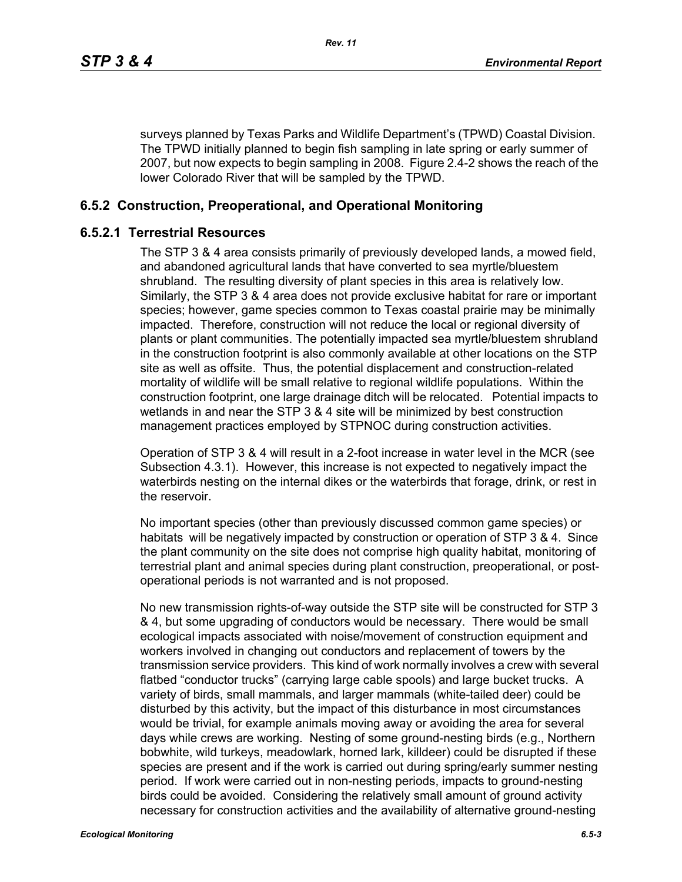surveys planned by Texas Parks and Wildlife Department's (TPWD) Coastal Division. The TPWD initially planned to begin fish sampling in late spring or early summer of 2007, but now expects to begin sampling in 2008. Figure 2.4-2 shows the reach of the lower Colorado River that will be sampled by the TPWD.

## **6.5.2 Construction, Preoperational, and Operational Monitoring**

## **6.5.2.1 Terrestrial Resources**

The STP 3 & 4 area consists primarily of previously developed lands, a mowed field, and abandoned agricultural lands that have converted to sea myrtle/bluestem shrubland. The resulting diversity of plant species in this area is relatively low. Similarly, the STP 3 & 4 area does not provide exclusive habitat for rare or important species; however, game species common to Texas coastal prairie may be minimally impacted. Therefore, construction will not reduce the local or regional diversity of plants or plant communities. The potentially impacted sea myrtle/bluestem shrubland in the construction footprint is also commonly available at other locations on the STP site as well as offsite. Thus, the potential displacement and construction-related mortality of wildlife will be small relative to regional wildlife populations. Within the construction footprint, one large drainage ditch will be relocated. Potential impacts to wetlands in and near the STP 3 & 4 site will be minimized by best construction management practices employed by STPNOC during construction activities.

Operation of STP 3 & 4 will result in a 2-foot increase in water level in the MCR (see Subsection 4.3.1). However, this increase is not expected to negatively impact the waterbirds nesting on the internal dikes or the waterbirds that forage, drink, or rest in the reservoir.

No important species (other than previously discussed common game species) or habitats will be negatively impacted by construction or operation of STP 3 & 4. Since the plant community on the site does not comprise high quality habitat, monitoring of terrestrial plant and animal species during plant construction, preoperational, or postoperational periods is not warranted and is not proposed.

No new transmission rights-of-way outside the STP site will be constructed for STP 3 & 4, but some upgrading of conductors would be necessary. There would be small ecological impacts associated with noise/movement of construction equipment and workers involved in changing out conductors and replacement of towers by the transmission service providers. This kind of work normally involves a crew with several flatbed "conductor trucks" (carrying large cable spools) and large bucket trucks. A variety of birds, small mammals, and larger mammals (white-tailed deer) could be disturbed by this activity, but the impact of this disturbance in most circumstances would be trivial, for example animals moving away or avoiding the area for several days while crews are working. Nesting of some ground-nesting birds (e.g., Northern bobwhite, wild turkeys, meadowlark, horned lark, killdeer) could be disrupted if these species are present and if the work is carried out during spring/early summer nesting period. If work were carried out in non-nesting periods, impacts to ground-nesting birds could be avoided. Considering the relatively small amount of ground activity necessary for construction activities and the availability of alternative ground-nesting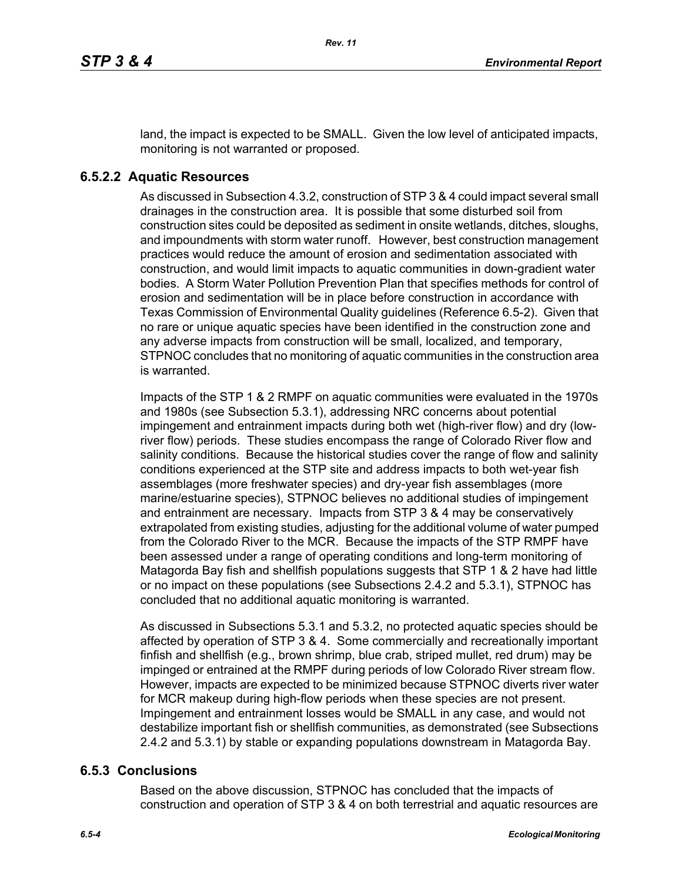land, the impact is expected to be SMALL. Given the low level of anticipated impacts, monitoring is not warranted or proposed.

### **6.5.2.2 Aquatic Resources**

As discussed in Subsection 4.3.2, construction of STP 3 & 4 could impact several small drainages in the construction area. It is possible that some disturbed soil from construction sites could be deposited as sediment in onsite wetlands, ditches, sloughs, and impoundments with storm water runoff. However, best construction management practices would reduce the amount of erosion and sedimentation associated with construction, and would limit impacts to aquatic communities in down-gradient water bodies. A Storm Water Pollution Prevention Plan that specifies methods for control of erosion and sedimentation will be in place before construction in accordance with Texas Commission of Environmental Quality guidelines (Reference 6.5-2). Given that no rare or unique aquatic species have been identified in the construction zone and any adverse impacts from construction will be small, localized, and temporary, STPNOC concludes that no monitoring of aquatic communities in the construction area is warranted.

Impacts of the STP 1 & 2 RMPF on aquatic communities were evaluated in the 1970s and 1980s (see Subsection 5.3.1), addressing NRC concerns about potential impingement and entrainment impacts during both wet (high-river flow) and dry (lowriver flow) periods. These studies encompass the range of Colorado River flow and salinity conditions. Because the historical studies cover the range of flow and salinity conditions experienced at the STP site and address impacts to both wet-year fish assemblages (more freshwater species) and dry-year fish assemblages (more marine/estuarine species), STPNOC believes no additional studies of impingement and entrainment are necessary. Impacts from STP 3 & 4 may be conservatively extrapolated from existing studies, adjusting for the additional volume of water pumped from the Colorado River to the MCR. Because the impacts of the STP RMPF have been assessed under a range of operating conditions and long-term monitoring of Matagorda Bay fish and shellfish populations suggests that STP 1 & 2 have had little or no impact on these populations (see Subsections 2.4.2 and 5.3.1), STPNOC has concluded that no additional aquatic monitoring is warranted.

As discussed in Subsections 5.3.1 and 5.3.2, no protected aquatic species should be affected by operation of STP 3 & 4. Some commercially and recreationally important finfish and shellfish (e.g., brown shrimp, blue crab, striped mullet, red drum) may be impinged or entrained at the RMPF during periods of low Colorado River stream flow. However, impacts are expected to be minimized because STPNOC diverts river water for MCR makeup during high-flow periods when these species are not present. Impingement and entrainment losses would be SMALL in any case, and would not destabilize important fish or shellfish communities, as demonstrated (see Subsections 2.4.2 and 5.3.1) by stable or expanding populations downstream in Matagorda Bay.

#### **6.5.3 Conclusions**

Based on the above discussion, STPNOC has concluded that the impacts of construction and operation of STP 3 & 4 on both terrestrial and aquatic resources are